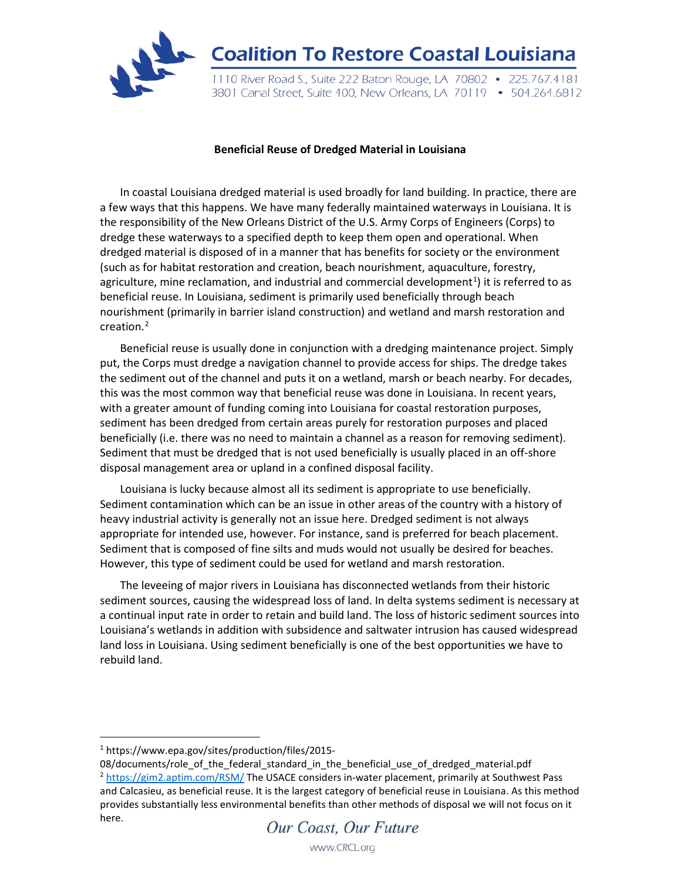

## **Beneficial Reuse of Dredged Material in Louisiana**

In coastal Louisiana dredged material is used broadly for land building. In practice, there are a few ways that this happens. We have many federally maintained waterways in Louisiana. It is the responsibility of the New Orleans District of the U.S. Army Corps of Engineers (Corps) to dredge these waterways to a specified depth to keep them open and operational. When dredged material is disposed of in a manner that has benefits for society or the environment (such as for habitat restoration and creation, beach nourishment, aquaculture, forestry, agriculture, mine reclamation, and industrial and commercial development<sup>[1](#page-0-0)</sup>) it is referred to as beneficial reuse. In Louisiana, sediment is primarily used beneficially through beach nourishment (primarily in barrier island construction) and wetland and marsh restoration and creation.[2](#page-0-1)

Beneficial reuse is usually done in conjunction with a dredging maintenance project. Simply put, the Corps must dredge a navigation channel to provide access for ships. The dredge takes the sediment out of the channel and puts it on a wetland, marsh or beach nearby. For decades, this was the most common way that beneficial reuse was done in Louisiana. In recent years, with a greater amount of funding coming into Louisiana for coastal restoration purposes, sediment has been dredged from certain areas purely for restoration purposes and placed beneficially (i.e. there was no need to maintain a channel as a reason for removing sediment). Sediment that must be dredged that is not used beneficially is usually placed in an off-shore disposal management area or upland in a confined disposal facility.

Louisiana is lucky because almost all its sediment is appropriate to use beneficially. Sediment contamination which can be an issue in other areas of the country with a history of heavy industrial activity is generally not an issue here. Dredged sediment is not always appropriate for intended use, however. For instance, sand is preferred for beach placement. Sediment that is composed of fine silts and muds would not usually be desired for beaches. However, this type of sediment could be used for wetland and marsh restoration.

The leveeing of major rivers in Louisiana has disconnected wetlands from their historic sediment sources, causing the widespread loss of land. In delta systems sediment is necessary at a continual input rate in order to retain and build land. The loss of historic sediment sources into Louisiana's wetlands in addition with subsidence and saltwater intrusion has caused widespread land loss in Louisiana. Using sediment beneficially is one of the best opportunities we have to rebuild land.

 $\overline{a}$ 

<span id="page-0-0"></span><sup>1</sup> https://www.epa.gov/sites/production/files/2015-

<span id="page-0-1"></span><sup>08/</sup>documents/role\_of\_the\_federal\_standard\_in\_the\_beneficial\_use\_of\_dredged\_material.pdf <sup>2</sup> <https://gim2.aptim.com/RSM/> The USACE considers in-water placement, primarily at Southwest Pass and Calcasieu, as beneficial reuse. It is the largest category of beneficial reuse in Louisiana. As this method provides substantially less environmental benefits than other methods of disposal we will not focus on it here.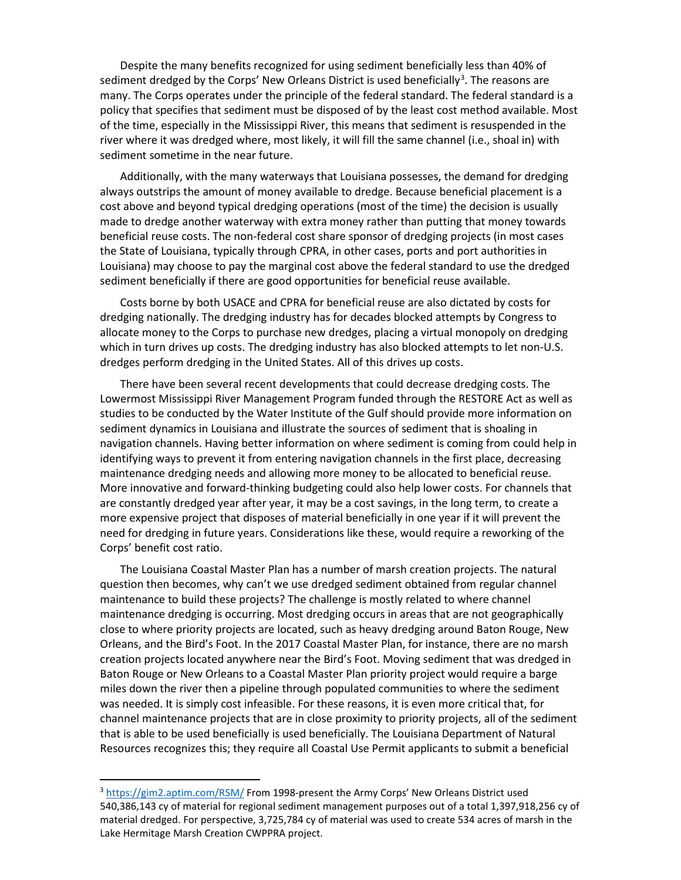Despite the many benefits recognized for using sediment beneficially less than 40% of sediment dredged by the Corps' New Orleans District is used beneficially<sup>[3](#page-1-0)</sup>. The reasons are many. The Corps operates under the principle of the federal standard. The federal standard is a policy that specifies that sediment must be disposed of by the least cost method available. Most of the time, especially in the Mississippi River, this means that sediment is resuspended in the river where it was dredged where, most likely, it will fill the same channel (i.e., shoal in) with sediment sometime in the near future.

Additionally, with the many waterways that Louisiana possesses, the demand for dredging always outstrips the amount of money available to dredge. Because beneficial placement is a cost above and beyond typical dredging operations (most of the time) the decision is usually made to dredge another waterway with extra money rather than putting that money towards beneficial reuse costs. The non-federal cost share sponsor of dredging projects (in most cases the State of Louisiana, typically through CPRA, in other cases, ports and port authorities in Louisiana) may choose to pay the marginal cost above the federal standard to use the dredged sediment beneficially if there are good opportunities for beneficial reuse available.

Costs borne by both USACE and CPRA for beneficial reuse are also dictated by costs for dredging nationally. The dredging industry has for decades blocked attempts by Congress to allocate money to the Corps to purchase new dredges, placing a virtual monopoly on dredging which in turn drives up costs. The dredging industry has also blocked attempts to let non-U.S. dredges perform dredging in the United States. All of this drives up costs.

There have been several recent developments that could decrease dredging costs. The Lowermost Mississippi River Management Program funded through the RESTORE Act as well as studies to be conducted by the Water Institute of the Gulf should provide more information on sediment dynamics in Louisiana and illustrate the sources of sediment that is shoaling in navigation channels. Having better information on where sediment is coming from could help in identifying ways to prevent it from entering navigation channels in the first place, decreasing maintenance dredging needs and allowing more money to be allocated to beneficial reuse. More innovative and forward-thinking budgeting could also help lower costs. For channels that are constantly dredged year after year, it may be a cost savings, in the long term, to create a more expensive project that disposes of material beneficially in one year if it will prevent the need for dredging in future years. Considerations like these, would require a reworking of the Corps' benefit cost ratio.

The Louisiana Coastal Master Plan has a number of marsh creation projects. The natural question then becomes, why can't we use dredged sediment obtained from regular channel maintenance to build these projects? The challenge is mostly related to where channel maintenance dredging is occurring. Most dredging occurs in areas that are not geographically close to where priority projects are located, such as heavy dredging around Baton Rouge, New Orleans, and the Bird's Foot. In the 2017 Coastal Master Plan, for instance, there are no marsh creation projects located anywhere near the Bird's Foot. Moving sediment that was dredged in Baton Rouge or New Orleans to a Coastal Master Plan priority project would require a barge miles down the river then a pipeline through populated communities to where the sediment was needed. It is simply cost infeasible. For these reasons, it is even more critical that, for channel maintenance projects that are in close proximity to priority projects, all of the sediment that is able to be used beneficially is used beneficially. The Louisiana Department of Natural Resources recognizes this; they require all Coastal Use Permit applicants to submit a beneficial

 $\overline{a}$ 

<span id="page-1-0"></span><sup>&</sup>lt;sup>3</sup> <https://gim2.aptim.com/RSM/> From 1998-present the Army Corps' New Orleans District used 540,386,143 cy of material for regional sediment management purposes out of a total 1,397,918,256 cy of material dredged. For perspective, 3,725,784 cy of material was used to create 534 acres of marsh in the Lake Hermitage Marsh Creation CWPPRA project.